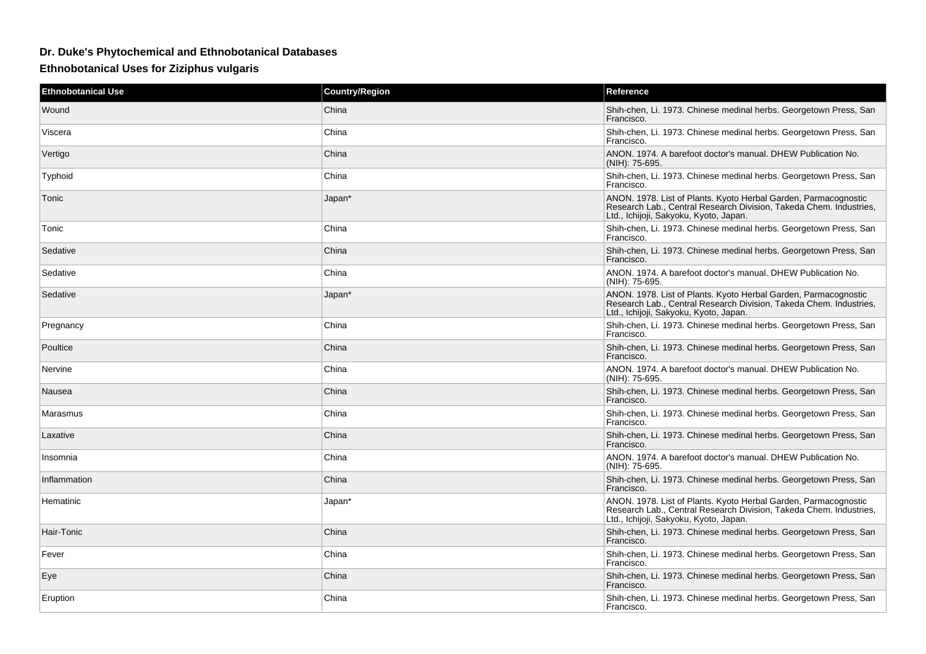## **Dr. Duke's Phytochemical and Ethnobotanical Databases**

**Ethnobotanical Uses for Ziziphus vulgaris**

| <b>Ethnobotanical Use</b> | <b>Country/Region</b> | Reference                                                                                                                                                                       |
|---------------------------|-----------------------|---------------------------------------------------------------------------------------------------------------------------------------------------------------------------------|
| Wound                     | China                 | Shih-chen, Li. 1973. Chinese medinal herbs. Georgetown Press, San<br>Francisco.                                                                                                 |
| Viscera                   | China                 | Shih-chen, Li. 1973. Chinese medinal herbs. Georgetown Press, San<br>Francisco.                                                                                                 |
| Vertigo                   | China                 | ANON. 1974. A barefoot doctor's manual. DHEW Publication No.<br>(NIH): 75-695.                                                                                                  |
| Typhoid                   | China                 | Shih-chen, Li. 1973. Chinese medinal herbs. Georgetown Press, San<br>Francisco.                                                                                                 |
| Tonic                     | Japan*                | ANON. 1978. List of Plants. Kyoto Herbal Garden, Parmacognostic<br>Research Lab., Central Research Division, Takeda Chem. Industries,<br>Ltd., Ichijoji, Sakyoku, Kyoto, Japan. |
| Tonic                     | China                 | Shih-chen, Li. 1973. Chinese medinal herbs. Georgetown Press, San<br>Francisco.                                                                                                 |
| Sedative                  | China                 | Shih-chen, Li. 1973. Chinese medinal herbs. Georgetown Press, San<br>Francisco.                                                                                                 |
| Sedative                  | China                 | ANON. 1974. A barefoot doctor's manual. DHEW Publication No.<br>(NIH): 75-695.                                                                                                  |
| Sedative                  | Japan*                | ANON. 1978. List of Plants. Kyoto Herbal Garden, Parmacognostic<br>Research Lab., Central Research Division, Takeda Chem. Industries,<br>Ltd., Ichijoji, Sakyoku, Kyoto, Japan. |
| Pregnancy                 | China                 | Shih-chen, Li. 1973. Chinese medinal herbs. Georgetown Press, San<br>Francisco.                                                                                                 |
| Poultice                  | China                 | Shih-chen, Li. 1973. Chinese medinal herbs. Georgetown Press, San<br>Francisco.                                                                                                 |
| Nervine                   | China                 | ANON. 1974. A barefoot doctor's manual. DHEW Publication No.<br>(NIH): 75-695.                                                                                                  |
| Nausea                    | China                 | Shih-chen, Li. 1973. Chinese medinal herbs. Georgetown Press, San<br>Francisco.                                                                                                 |
| Marasmus                  | China                 | Shih-chen, Li. 1973. Chinese medinal herbs. Georgetown Press, San<br>Francisco.                                                                                                 |
| Laxative                  | China                 | Shih-chen, Li. 1973. Chinese medinal herbs. Georgetown Press, San<br>Francisco.                                                                                                 |
| Insomnia                  | China                 | ANON. 1974. A barefoot doctor's manual. DHEW Publication No.<br>(NIH): 75-695.                                                                                                  |
| Inflammation              | China                 | Shih-chen, Li. 1973. Chinese medinal herbs. Georgetown Press, San<br>Francisco.                                                                                                 |
| Hematinic                 | Japan*                | ANON. 1978. List of Plants. Kyoto Herbal Garden, Parmacognostic<br>Research Lab., Central Research Division. Takeda Chem. Industries.<br>Ltd., Ichijoji, Sakyoku, Kyoto, Japan. |
| Hair-Tonic                | China                 | Shih-chen, Li. 1973. Chinese medinal herbs. Georgetown Press, San<br>Francisco.                                                                                                 |
| Fever                     | China                 | Shih-chen, Li. 1973. Chinese medinal herbs. Georgetown Press, San<br>Francisco.                                                                                                 |
| Eye                       | China                 | Shih-chen, Li. 1973. Chinese medinal herbs. Georgetown Press, San<br>Francisco.                                                                                                 |
| Eruption                  | China                 | Shih-chen, Li. 1973. Chinese medinal herbs. Georgetown Press, San<br>Francisco.                                                                                                 |